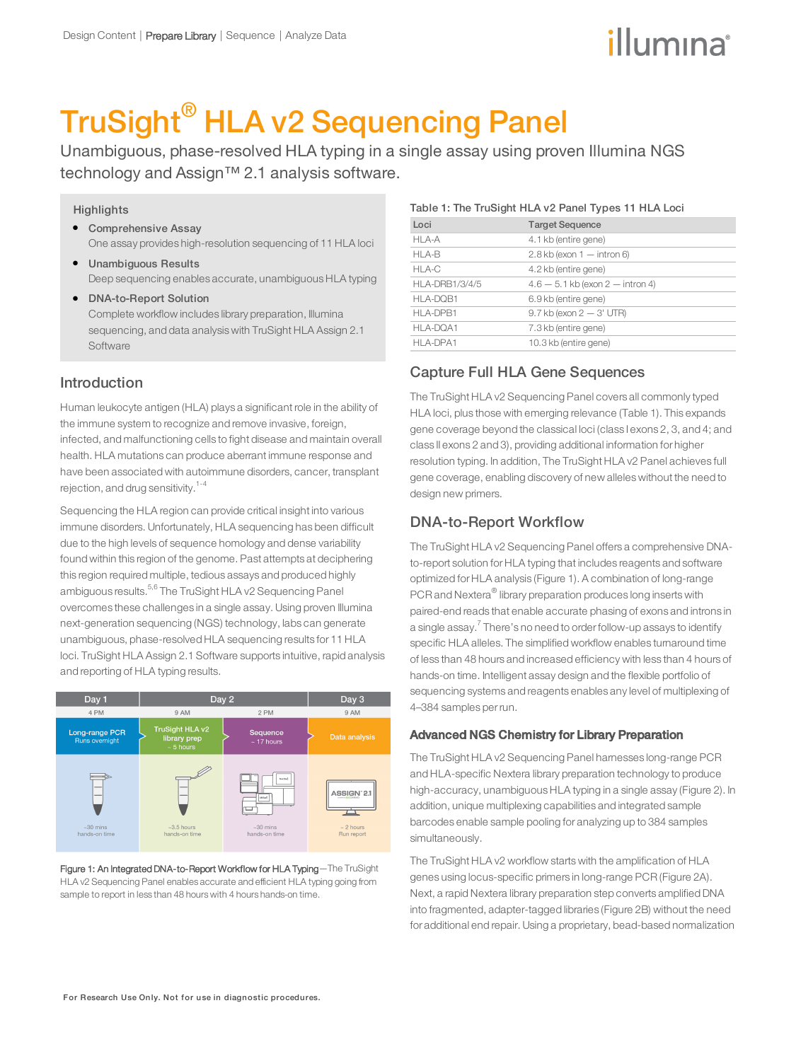# illumına

# TruSight® HLA v2 Sequencing Panel

Unambiguous, phase-resolved HLA typing in a single assay using proven Illumina NGS technology and Assign™ 2.1 analysis software.

#### **Highlights**

- **•** Comprehensive Assay One assay provides high-resolution sequencing of 11 HLA loci
- l Unambiguous Results Deep sequencing enables accurate, unambiguous HLA typing
- **DNA-to-Report Solution** Complete workflow includes library preparation, Illumina sequencing, and data analysis with TruSight HLA Assign 2.1 **Software**

## Introduction

Human leukocyte antigen (HLA) plays a significant role in the ability of the immune system to recognize and remove invasive, foreign, infected, and malfunctioning cells to fight disease and maintain overall health. HLA mutations can produce aberrant immune response and have been associated with autoimmune disorders, cancer, transplant rejection, and drug sensitivity.<sup>1-4</sup>

Sequencing the HLA region can provide critical insight into various immune disorders. Unfortunately, HLA sequencing has been difficult due to the high levels of sequence homology and dense variability found within this region of the genome. Past attempts at deciphering this region required multiple, tedious assays and produced highly ambiguous results.<sup>5,6</sup> The TruSight HLA v2 Sequencing Panel overcomes these challenges in a single assay. Using proven Illumina next-generation sequencing (NGS) technology, labs can generate unambiguous, phase-resolved HLA sequencing results for 11 HLA loci. TruSight HLA Assign 2.1 Software supports intuitive, rapid analysis and reporting of HLA typing results.



Figure 1: An Integrated DNA-to-Report Workflow for HLA Typing—The TruSight HLA v2 Sequencing Panel enables accurate and efficient HLA typing going from sample to report in less than 48 hours with 4 hours hands-on time.

#### Table 1: The TruSight HLA v2 Panel Types 11 HLA Loci

| Loci                  | <b>Target Sequence</b>               |
|-----------------------|--------------------------------------|
| HLA-A                 | 4.1 kb (entire gene)                 |
| HLA-B                 | $2.8$ kb (exon $1 -$ intron 6)       |
| HLA-C                 | 4.2 kb (entire gene)                 |
| <b>HLA-DRB1/3/4/5</b> | $4.6 - 5.1$ kb (exon $2 -$ intron 4) |
| HLA-DQB1              | 6.9 kb (entire gene)                 |
| HLA-DPB1              | $9.7$ kb (exon $2 - 3'$ UTR)         |
| HLA-DQA1              | 7.3 kb (entire gene)                 |
| HLA-DPA1              | 10.3 kb (entire gene)                |

# Capture Full HLA Gene Sequences

The TruSight HLA v2 Sequencing Panel covers all commonly typed HLA loci, plus those with emerging relevance (Table 1). This expands gene coverage beyond the classical loci (class I exons 2, 3, and 4; and class II exons 2 and 3), providing additional information for higher resolution typing. In addition, The TruSight HLA v2 Panel achieves full gene coverage, enabling discovery of new alleles without the need to design new primers.

# DNA-to-Report Workflow

The TruSight HLA v2 Sequencing Panel offers a comprehensive DNAto-report solution for HLA typing that includes reagents and software optimized for HLA analysis (Figure 1). A combination of long-range PCR and Nextera® library preparation produces long inserts with paired-end reads that enable accurate phasing of exons and introns in a single assay.<sup>7</sup> There's no need to order follow-up assays to identify specific HLA alleles. The simplified workflow enables turnaround time of less than 48 hours and increased efficiency with less than 4 hours of hands-on time. Intelligent assay design and the flexible portfolio of sequencing systems and reagents enables any level of multiplexing of 4–384 samples perrun.

#### Advanced NGS Chemistry for Library Preparation

The TruSight HLA v2 Sequencing Panel harnesses long-range PCR and HLA-specific Nextera library preparation technology to produce high-accuracy, unambiguous HLA typing in a single assay (Figure 2). In addition, unique multiplexing capabilities and integrated sample barcodes enable sample pooling for analyzing up to 384 samples simultaneously.

The TruSight HLA v2 workflow starts with the amplification of HLA genes using locus-specific primers in long-range PCR (Figure 2A). Next, a rapid Nextera library preparation step converts amplified DNA into fragmented, adapter-tagged libraries (Figure 2B) without the need for additional end repair. Using a proprietary, bead-based normalization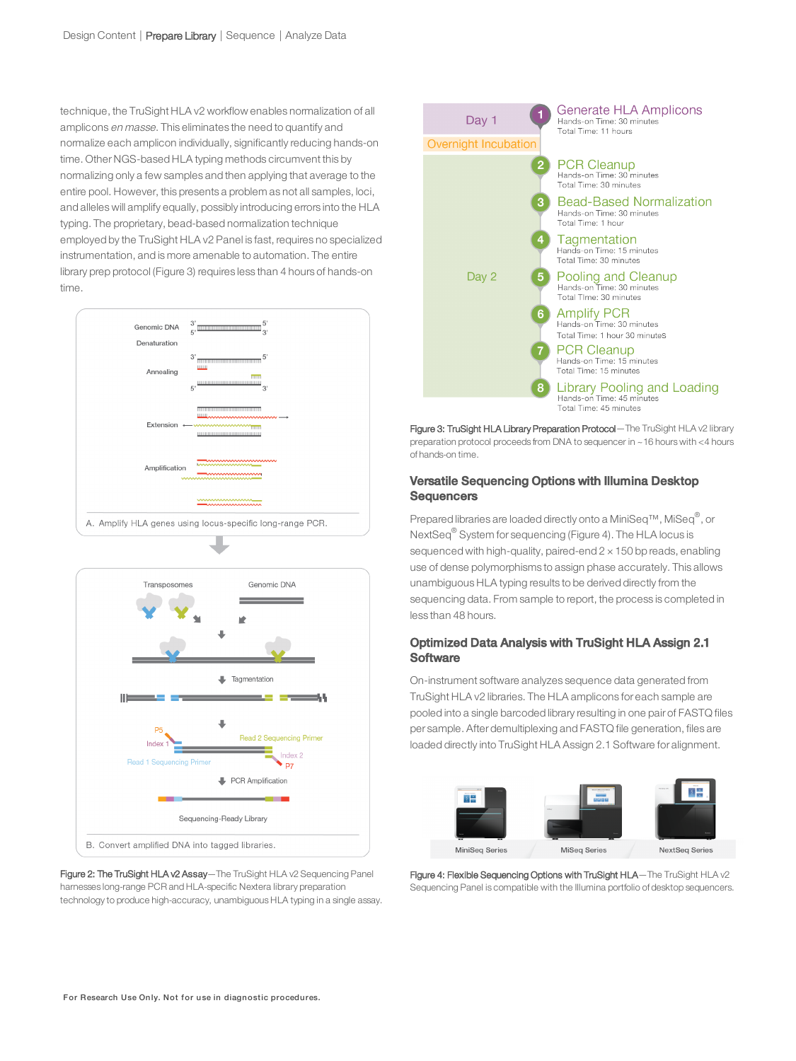technique, the TruSight HLA v2 workflow enables normalization of all amplicons en masse. This eliminates the need to quantify and normalize each amplicon individually, significantly reducing hands-on time. Other NGS-based HLA typing methods circumvent this by normalizing only a few samples and then applying that average to the entire pool. However, this presents a problem as not all samples, loci, and alleles will amplify equally, possibly introducing errors into the HLA typing. The proprietary, bead-based normalization technique employed by the TruSight HLA v2 Panel is fast, requires no specialized instrumentation, and is more amenable to automation. The entire library prep protocol (Figure 3) requires less than 4 hours of hands-on time.





Figure 2: The TruSight HLA v2 Assay-The TruSight HLA v2 Sequencing Panel harnesses long-range PCR and HLA-specific Nextera library preparation technology to produce high-accuracy, unambiguous HLA typing in a single assay.



Figure 3: TruSight HLA Library Preparation Protocol - The TruSight HLA v2 library preparation protocol proceeds from DNA to sequencer in ~16 hours with <4 hours of hands-on time.

#### Versatile Sequencing Options with Illumina Desktop **Sequencers**

Prepared libraries are loaded directly onto a MiniSeq™, MiSeq®, or NextSeq® System for sequencing (Figure 4). The HLA locus is sequenced with high-quality, paired-end  $2 \times 150$  bp reads, enabling use of dense polymorphisms to assign phase accurately. This allows unambiguous HLA typing results to be derived directly from the sequencing data. From sample to report, the process is completed in less than 48 hours.

#### Optimized Data Analysis with TruSight HLA Assign 2.1 **Software**

On-instrument software analyzes sequence data generated from TruSight HLA v2 libraries. The HLA amplicons for each sample are pooled into a single barcoded library resulting in one pair of FASTQ files per sample. After demultiplexing and FASTQ file generation, files are loaded directly into TruSight HLA Assign 2.1 Software for alignment.



Figure 4: Flexible Sequencing Options with TruSight HLA-The TruSight HLA v2 Sequencing Panel is compatible with the Illumina portfolio of desktop sequencers.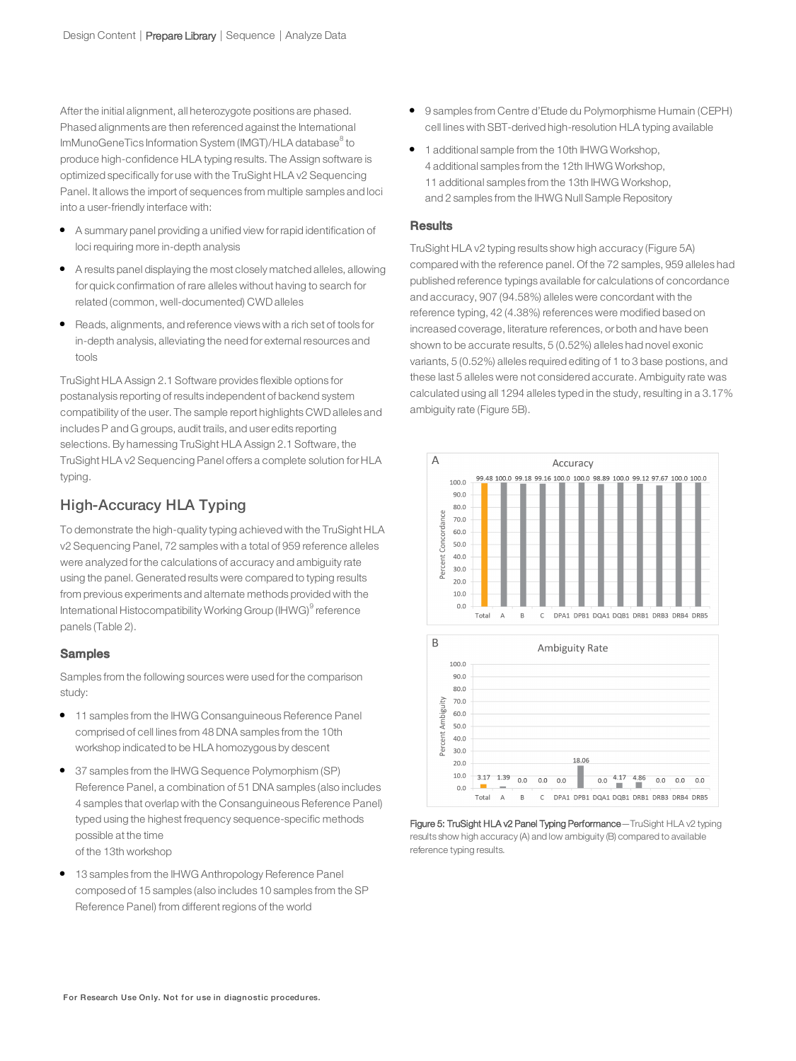After the initial alignment, all heterozygote positions are phased. Phased alignments are then referenced against the International lmMunoGeneTics Information System (IMGT)/HLA database $^{\rm 8}$  to produce high-confidence HLA typing results. The Assign software is optimized specifically for use with the TruSight HLA v2 Sequencing Panel. It allows the import of sequences from multiple samples and loci into a user-friendly interface with:

- A summary panel providing a unified view for rapid identification of loci requiring more in-depth analysis
- l A results panel displaying the most closely matched alleles, allowing for quick confirmation of rare alleles without having to search for related (common, well-documented) CWDalleles
- Reads, alignments, and reference views with a rich set of tools for in-depth analysis, alleviating the need for external resources and tools

TruSight HLA Assign 2.1 Software provides flexible options for postanalysis reporting of results independent of backend system compatibility of the user. The sample report highlights CWDalleles and includes P and G groups, audit trails, and user edits reporting selections. By hamessing TruSight HLA Assign 2.1 Software, the TruSight HLA v2 Sequencing Panel offers a complete solution for HLA typing.

# High-Accuracy HLA Typing

To demonstrate the high-quality typing achieved with the TruSight HLA v2 Sequencing Panel, 72 samples with a total of 959 reference alleles were analyzed forthe calculations of accuracy and ambiguity rate using the panel. Generated results were compared to typing results from previous experiments and alternate methods provided with the International Histocompatibility Working Group (IHWG)<sup>9</sup> reference panels (Table 2).

#### **Samples**

Samples from the following sources were used forthe comparison study:

- **•** 11 samples from the IHWG Consanguineous Reference Panel comprised of cell lines from 48 DNA samples from the 10th workshop indicated to be HLA homozygous by descent
- 37 samples from the IHWG Sequence Polymorphism (SP) Reference Panel, a combination of 51 DNA samples (also includes 4 samples that overlap with the Consanguineous Reference Panel) typed using the highest frequency sequence-specific methods possible at the time of the 13th workshop
- 13 samples from the IHWG Anthropology Reference Panel composed of 15 samples (also includes 10 samples from the SP Reference Panel) from different regions of the world
- 9 samples from Centre d'Etude du Polymorphisme Humain (CEPH) cell lines with SBT-derived high-resolution HLA typing available
- **1** additional sample from the 10th IHWG Workshop, 4 additional samples from the 12th IHWG Workshop, 11 additional samples from the 13th IHWG Workshop, and 2 samples from the IHWG Null Sample Repository

#### **Results**

TruSight HLA v2 typing results show high accuracy (Figure 5A) compared with the reference panel. Of the 72 samples, 959 alleles had published reference typings available for calculations of concordance and accuracy, 907 (94.58%) alleles were concordant with the reference typing, 42 (4.38%) references were modified based on increased coverage, literature references, or both and have been shown to be accurate results, 5 (0.52%) alleles had novel exonic variants, 5 (0.52%) alleles required editing of 1 to 3 base postions, and these last 5 alleles were not considered accurate. Ambiguity rate was calculated using all 1294 alleles typed in the study, resulting in a 3.17% ambiguity rate (Figure 5B).





DPA1 DPB1 DQA1 DQB1 DRB1 DRB3 DRB4 DRB5

 $0<sub>0</sub>$ Total  $\overline{A}$  $\overline{B}$  $\mathsf C$